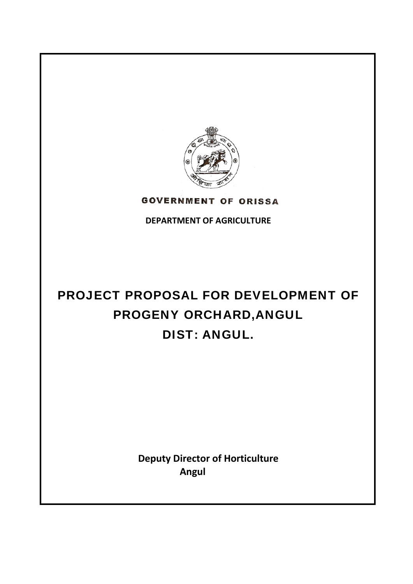

**GOVERNMENT OF ORISSA** 

**DEPARTMENT OF AGRICULTURE**

# PROJECT PROPOSAL FOR DEVELOPMENT OF PROGENY ORCHARD,ANGUL DIST: ANGUL.

**Deputy Director of Horticulture Angul**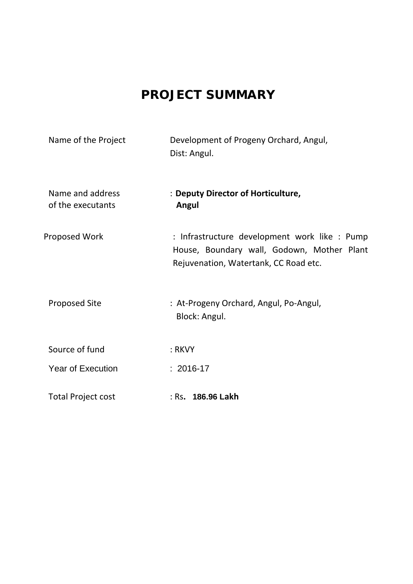## **PROJECT SUMMARY**

| Name of the Project                   | Development of Progeny Orchard, Angul,<br>Dist: Angul.                                                                               |
|---------------------------------------|--------------------------------------------------------------------------------------------------------------------------------------|
| Name and address<br>of the executants | : Deputy Director of Horticulture,<br>Angul                                                                                          |
| <b>Proposed Work</b>                  | : Infrastructure development work like : Pump<br>House, Boundary wall, Godown, Mother Plant<br>Rejuvenation, Watertank, CC Road etc. |
| <b>Proposed Site</b>                  | : At-Progeny Orchard, Angul, Po-Angul,<br>Block: Angul.                                                                              |
| Source of fund                        | : RKVY                                                                                                                               |
| <b>Year of Execution</b>              | $: 2016 - 17$                                                                                                                        |
| <b>Total Project cost</b>             | : Rs. 186.96 Lakh                                                                                                                    |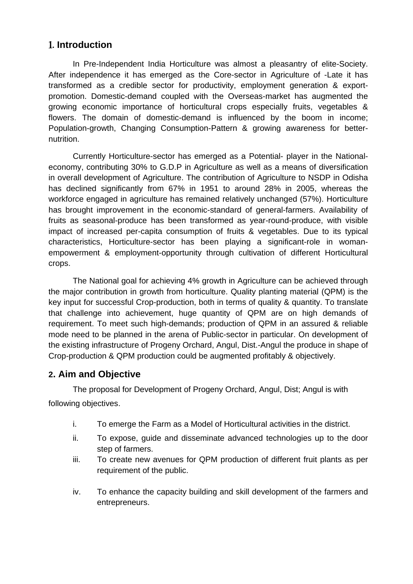## 1**. Introduction**

In Pre-Independent India Horticulture was almost a pleasantry of elite-Society. After independence it has emerged as the Core-sector in Agriculture of -Late it has transformed as a credible sector for productivity, employment generation & exportpromotion. Domestic-demand coupled with the Overseas-market has augmented the growing economic importance of horticultural crops especially fruits, vegetables & flowers. The domain of domestic-demand is influenced by the boom in income; Population-growth, Changing Consumption-Pattern & growing awareness for betternutrition.

Currently Horticulture-sector has emerged as a Potential- player in the Nationaleconomy, contributing 30% to G.D.P in Agriculture as well as a means of diversification in overall development of Agriculture. The contribution of Agriculture to NSDP in Odisha has declined significantly from 67% in 1951 to around 28% in 2005, whereas the workforce engaged in agriculture has remained relatively unchanged (57%). Horticulture has brought improvement in the economic-standard of general-farmers. Availability of fruits as seasonal-produce has been transformed as year-round-produce, with visible impact of increased per-capita consumption of fruits & vegetables. Due to its typical characteristics, Horticulture-sector has been playing a significant-role in womanempowerment & employment-opportunity through cultivation of different Horticultural crops.

The National goal for achieving 4% growth in Agriculture can be achieved through the major contribution in growth from horticulture. Quality planting material (QPM) is the key input for successful Crop-production, both in terms of quality & quantity. To translate that challenge into achievement, huge quantity of QPM are on high demands of requirement. To meet such high-demands; production of QPM in an assured & reliable mode need to be planned in the arena of Public-sector in particular. On development of the existing infrastructure of Progeny Orchard, Angul, Dist.-Angul the produce in shape of Crop-production & QPM production could be augmented profitably & objectively.

## **2. Aim and Objective**

The proposal for Development of Progeny Orchard, Angul, Dist; Angul is with following objectives.

- i. To emerge the Farm as a Model of Horticultural activities in the district.
- ii. To expose, guide and disseminate advanced technologies up to the door step of farmers.
- iii. To create new avenues for QPM production of different fruit plants as per requirement of the public.
- iv. To enhance the capacity building and skill development of the farmers and entrepreneurs.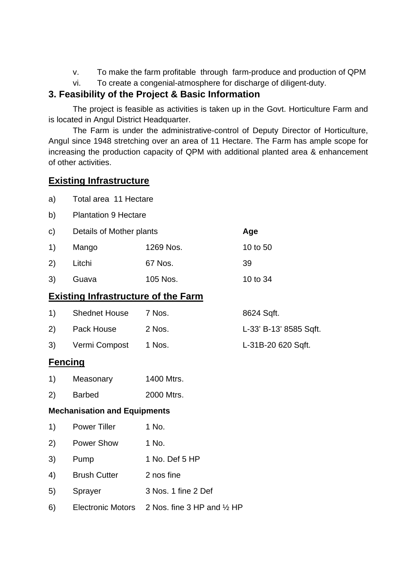- v. To make the farm profitable through farm-produce and production of QPM
- vi. To create a congenial-atmosphere for discharge of diligent-duty.

## **3. Feasibility of the Project & Basic Information**

The project is feasible as activities is taken up in the Govt. Horticulture Farm and is located in Angul District Headquarter.

 The Farm is under the administrative-control of Deputy Director of Horticulture, Angul since 1948 stretching over an area of 11 Hectare. The Farm has ample scope for increasing the production capacity of QPM with additional planted area & enhancement of other activities.

## **Existing Infrastructure**

| a) |  | Total area 11 Hectare |
|----|--|-----------------------|
|----|--|-----------------------|

- b) Plantation 9 Hectare
- c) Details of Mother plants **Age**

| 1)<br>Mango |        | 1269 Nos. | 10 to 50 |
|-------------|--------|-----------|----------|
| 2)          | Litchi | 67 Nos.   | -39      |
| 3)          | Guava  | 105 Nos.  | 10 to 34 |

## **Existing Infrastructure of the Farm**

| $\left( \begin{matrix} 1 \end{matrix} \right)$ | <b>Shednet House</b> | 7 Nos. | 8624 Sqft.             |
|------------------------------------------------|----------------------|--------|------------------------|
| (2)                                            | Pack House           | 2 Nos. | L-33' B-13' 8585 Sqft. |
| 3)                                             | Vermi Compost 1 Nos. |        | L-31B-20 620 Sqft.     |

## **Fencing**

| 1) | Measonary | 1400 Mtrs. |
|----|-----------|------------|
|    |           |            |

2) Barbed 2000 Mtrs.

#### **Mechanisation and Equipments**

| 1)  | <b>Power Tiller</b> | 1 No.          |
|-----|---------------------|----------------|
| (2) | <b>Power Show</b>   | 1 No.          |
| 3)  | Pump                | 1 No. Def 5 HP |
| 4)  | <b>Brush Cutter</b> | 2 nos fine     |

- 5) Sprayer 3 Nos. 1 fine 2 Def
- 6) Electronic Motors 2 Nos. fine 3 HP and ½ HP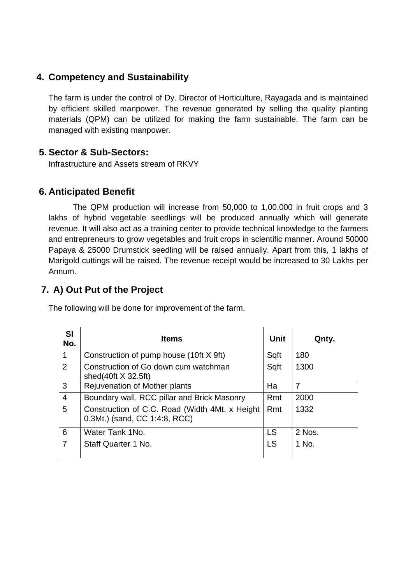## **4. Competency and Sustainability**

The farm is under the control of Dy. Director of Horticulture, Rayagada and is maintained by efficient skilled manpower. The revenue generated by selling the quality planting materials (QPM) can be utilized for making the farm sustainable. The farm can be managed with existing manpower.

## **5. Sector & Sub-Sectors:**

Infrastructure and Assets stream of RKVY

## **6. Anticipated Benefit**

The QPM production will increase from 50,000 to 1,00,000 in fruit crops and 3 lakhs of hybrid vegetable seedlings will be produced annually which will generate revenue. It will also act as a training center to provide technical knowledge to the farmers and entrepreneurs to grow vegetables and fruit crops in scientific manner. Around 50000 Papaya & 25000 Drumstick seedling will be raised annually. Apart from this, 1 lakhs of Marigold cuttings will be raised. The revenue receipt would be increased to 30 Lakhs per Annum.

## **7. A) Out Put of the Project**

The following will be done for improvement of the farm.

| <b>SI</b><br>No. | <b>Items</b>                                                                    | <b>Unit</b> | Qnty.  |
|------------------|---------------------------------------------------------------------------------|-------------|--------|
| 1                | Construction of pump house (10ft X 9ft)                                         | Sqft        | 180    |
| 2                | Construction of Go down cum watchman<br>shed $(40ft \times 32.5ft)$             | Sqft        | 1300   |
| 3                | Rejuvenation of Mother plants                                                   | Ha          | 7      |
| 4                | Boundary wall, RCC pillar and Brick Masonry                                     | Rmt         | 2000   |
| 5                | Construction of C.C. Road (Width 4Mt. x Height<br>0.3Mt.) (sand, CC 1:4:8, RCC) | Rmt         | 1332   |
| 6                | Water Tank 1No.                                                                 | <b>LS</b>   | 2 Nos. |
| $\overline{7}$   | Staff Quarter 1 No.                                                             | <b>LS</b>   | 1 No.  |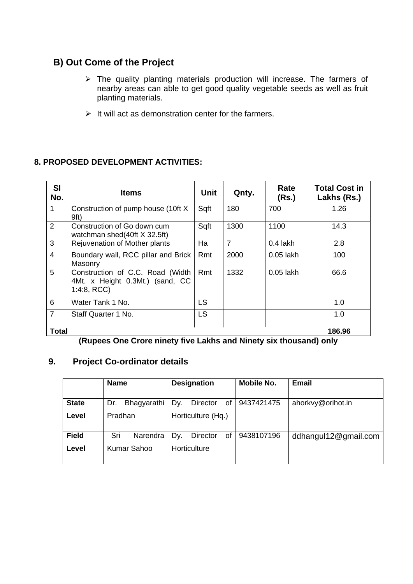## **B) Out Come of the Project**

- ¾ The quality planting materials production will increase. The farmers of nearby areas can able to get good quality vegetable seeds as well as fruit planting materials.
- $\triangleright$  It will act as demonstration center for the farmers.

## **8. PROPOSED DEVELOPMENT ACTIVITIES:**

| <b>SI</b><br>No. | <b>Items</b>                                                                      | <b>Unit</b> | Qnty.          | Rate<br>(Rs.) | <b>Total Cost in</b><br>Lakhs (Rs.) |
|------------------|-----------------------------------------------------------------------------------|-------------|----------------|---------------|-------------------------------------|
| 1                | Construction of pump house (10ft X)<br>9ft)                                       | Sqft        | 180            | 700           | 1.26                                |
| 2                | Construction of Go down cum<br>watchman shed(40ft X 32.5ft)                       | Sqft        | 1300           | 1100          | 14.3                                |
| 3                | Rejuvenation of Mother plants                                                     | Ha          | $\overline{7}$ | $0.4$ lakh    | 2.8                                 |
| 4                | Boundary wall, RCC pillar and Brick<br>Masonry                                    | Rmt         | 2000           | $0.05$ lakh   | 100                                 |
| 5                | Construction of C.C. Road (Width<br>4Mt. x Height 0.3Mt.) (sand, CC<br>1:4:8, RCC | Rmt         | 1332           | $0.05$ lakh   | 66.6                                |
| 6                | Water Tank 1 No.                                                                  | LS          |                |               | 1.0                                 |
| $\overline{7}$   | Staff Quarter 1 No.                                                               | <b>LS</b>   |                |               | 1.0                                 |
| <b>Total</b>     |                                                                                   |             |                |               | 186.96                              |

**(Rupees One Crore ninety five Lakhs and Ninety six thousand) only** 

## **9. Project Co-ordinator details**

|              | <b>Name</b>        | <b>Designation</b>    | <b>Mobile No.</b> | Email                |
|--------------|--------------------|-----------------------|-------------------|----------------------|
|              |                    |                       |                   |                      |
| <b>State</b> | Bhagyarathi<br>Dr. | Dy.<br>Director<br>of | 9437421475        | ahorkvy@orihot.in    |
| Level        | Pradhan            | Horticulture (Hq.)    |                   |                      |
| <b>Field</b> | Sri<br>Narendra    | Dv.<br>οf<br>Director | 9438107196        | ddhangul12@gmail.com |
| Level        | Kumar Sahoo        | Horticulture          |                   |                      |
|              |                    |                       |                   |                      |